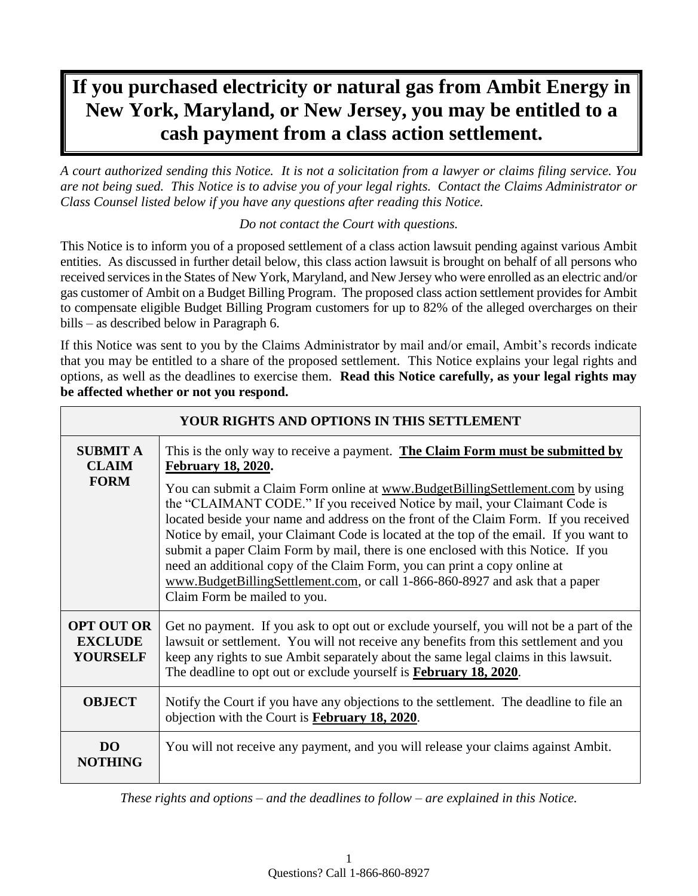# **If you purchased electricity or natural gas from Ambit Energy in New York, Maryland, or New Jersey, you may be entitled to a cash payment from a class action settlement.**

*A court authorized sending this Notice. It is not a solicitation from a lawyer or claims filing service. You are not being sued. This Notice is to advise you of your legal rights. Contact the Claims Administrator or Class Counsel listed below if you have any questions after reading this Notice.* 

#### *Do not contact the Court with questions.*

This Notice is to inform you of a proposed settlement of a class action lawsuit pending against various Ambit entities. As discussed in further detail below, this class action lawsuit is brought on behalf of all persons who received services in the States of New York, Maryland, and New Jersey who were enrolled as an electric and/or gas customer of Ambit on a Budget Billing Program. The proposed class action settlement provides for Ambit to compensate eligible Budget Billing Program customers for up to 82% of the alleged overcharges on their bills – as described below in Paragraph 6.

If this Notice was sent to you by the Claims Administrator by mail and/or email, Ambit's records indicate that you may be entitled to a share of the proposed settlement. This Notice explains your legal rights and options, as well as the deadlines to exercise them. **Read this Notice carefully, as your legal rights may be affected whether or not you respond.**

 $\overline{a}$ 

| YOUR RIGHTS AND OPTIONS IN THIS SETTLEMENT             |                                                                                                                                                                                                                                                                                                                                                                                                                                                                                                                                                                                                                                  |  |  |
|--------------------------------------------------------|----------------------------------------------------------------------------------------------------------------------------------------------------------------------------------------------------------------------------------------------------------------------------------------------------------------------------------------------------------------------------------------------------------------------------------------------------------------------------------------------------------------------------------------------------------------------------------------------------------------------------------|--|--|
| <b>SUBMIT A</b><br><b>CLAIM</b><br><b>FORM</b>         | This is the only way to receive a payment. The Claim Form must be submitted by<br><b>February 18, 2020.</b>                                                                                                                                                                                                                                                                                                                                                                                                                                                                                                                      |  |  |
|                                                        | You can submit a Claim Form online at www.BudgetBillingSettlement.com by using<br>the "CLAIMANT CODE." If you received Notice by mail, your Claimant Code is<br>located beside your name and address on the front of the Claim Form. If you received<br>Notice by email, your Claimant Code is located at the top of the email. If you want to<br>submit a paper Claim Form by mail, there is one enclosed with this Notice. If you<br>need an additional copy of the Claim Form, you can print a copy online at<br>www.BudgetBillingSettlement.com, or call 1-866-860-8927 and ask that a paper<br>Claim Form be mailed to you. |  |  |
| <b>OPT OUT OR</b><br><b>EXCLUDE</b><br><b>YOURSELF</b> | Get no payment. If you ask to opt out or exclude yourself, you will not be a part of the<br>lawsuit or settlement. You will not receive any benefits from this settlement and you<br>keep any rights to sue Ambit separately about the same legal claims in this lawsuit.<br>The deadline to opt out or exclude yourself is <b>February 18, 2020</b> .                                                                                                                                                                                                                                                                           |  |  |
| <b>OBJECT</b>                                          | Notify the Court if you have any objections to the settlement. The deadline to file an<br>objection with the Court is February 18, 2020.                                                                                                                                                                                                                                                                                                                                                                                                                                                                                         |  |  |
| DO <sub>1</sub><br><b>NOTHING</b>                      | You will not receive any payment, and you will release your claims against Ambit.                                                                                                                                                                                                                                                                                                                                                                                                                                                                                                                                                |  |  |

*These rights and options – and the deadlines to follow – are explained in this Notice.*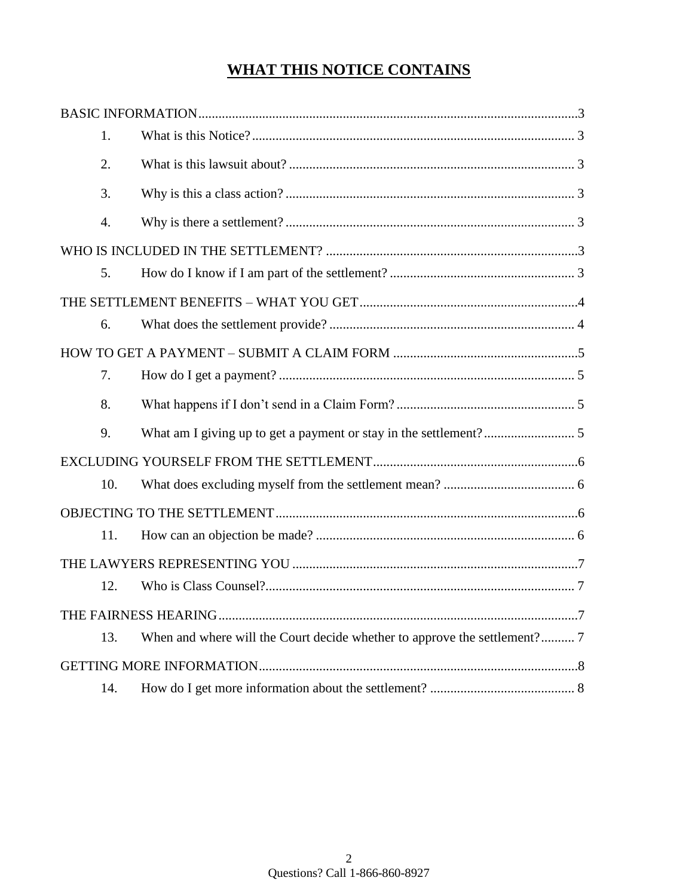# **WHAT THIS NOTICE CONTAINS**

| 1.  |                                                                           |  |  |
|-----|---------------------------------------------------------------------------|--|--|
| 2.  |                                                                           |  |  |
| 3.  |                                                                           |  |  |
| 4.  |                                                                           |  |  |
|     |                                                                           |  |  |
| 5.  |                                                                           |  |  |
|     |                                                                           |  |  |
| 6.  |                                                                           |  |  |
|     |                                                                           |  |  |
| 7.  |                                                                           |  |  |
| 8.  |                                                                           |  |  |
| 9.  |                                                                           |  |  |
|     |                                                                           |  |  |
| 10. |                                                                           |  |  |
|     |                                                                           |  |  |
| 11. |                                                                           |  |  |
|     |                                                                           |  |  |
| 12. |                                                                           |  |  |
|     |                                                                           |  |  |
| 13. | When and where will the Court decide whether to approve the settlement? 7 |  |  |
|     |                                                                           |  |  |
| 14. |                                                                           |  |  |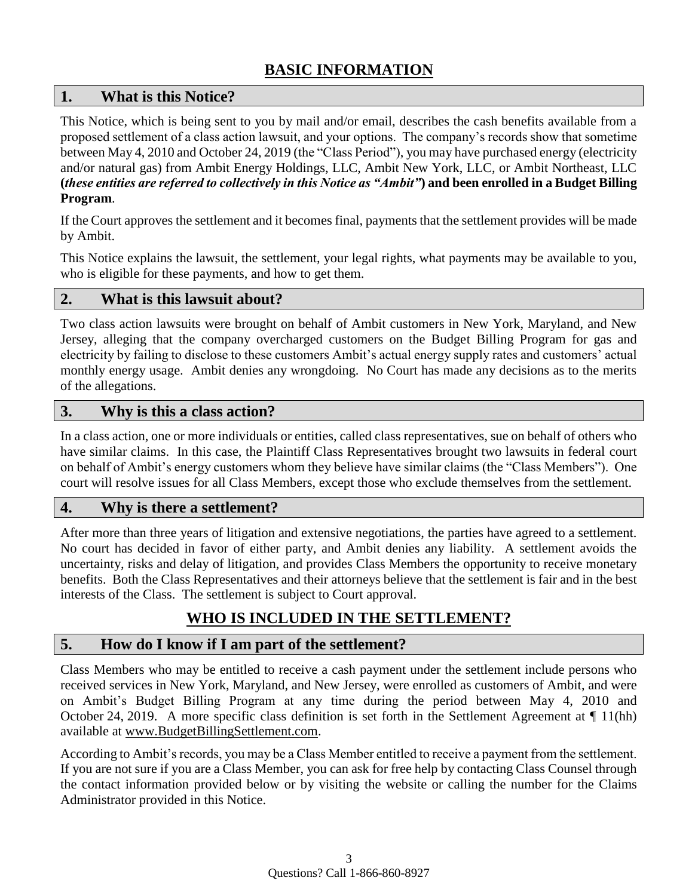# **BASIC INFORMATION**

## **1. What is this Notice?**

This Notice, which is being sent to you by mail and/or email, describes the cash benefits available from a proposed settlement of a class action lawsuit, and your options. The company's records show that sometime between May 4, 2010 and October 24, 2019 (the "Class Period"), you may have purchased energy (electricity and/or natural gas) from Ambit Energy Holdings, LLC, Ambit New York, LLC, or Ambit Northeast, LLC **(***these entities are referred to collectively in this Notice as "Ambit"***) and been enrolled in a Budget Billing Program**.

If the Court approves the settlement and it becomes final, payments that the settlement provides will be made by Ambit.

This Notice explains the lawsuit, the settlement, your legal rights, what payments may be available to you, who is eligible for these payments, and how to get them.

## **2. What is this lawsuit about?**

Two class action lawsuits were brought on behalf of Ambit customers in New York, Maryland, and New Jersey, alleging that the company overcharged customers on the Budget Billing Program for gas and electricity by failing to disclose to these customers Ambit's actual energy supply rates and customers' actual monthly energy usage. Ambit denies any wrongdoing. No Court has made any decisions as to the merits of the allegations.

## **3. Why is this a class action?**

In a class action, one or more individuals or entities, called class representatives, sue on behalf of others who have similar claims. In this case, the Plaintiff Class Representatives brought two lawsuits in federal court on behalf of Ambit's energy customers whom they believe have similar claims (the "Class Members"). One court will resolve issues for all Class Members, except those who exclude themselves from the settlement.

## **4. Why is there a settlement?**

After more than three years of litigation and extensive negotiations, the parties have agreed to a settlement. No court has decided in favor of either party, and Ambit denies any liability. A settlement avoids the uncertainty, risks and delay of litigation, and provides Class Members the opportunity to receive monetary benefits. Both the Class Representatives and their attorneys believe that the settlement is fair and in the best interests of the Class. The settlement is subject to Court approval.

# **WHO IS INCLUDED IN THE SETTLEMENT?**

## **5. How do I know if I am part of the settlement?**

Class Members who may be entitled to receive a cash payment under the settlement include persons who received services in New York, Maryland, and New Jersey, were enrolled as customers of Ambit, and were on Ambit's Budget Billing Program at any time during the period between May 4, 2010 and October 24, 2019. A more specific class definition is set forth in the Settlement Agreement at ¶ 11(hh) available at [www.BudgetBillingSettlement.com.](http://www.budgetbillingsettlement.com/)

According to Ambit's records, you may be a Class Member entitled to receive a payment from the settlement. If you are not sure if you are a Class Member, you can ask for free help by contacting Class Counsel through the contact information provided below or by visiting the website or calling the number for the Claims Administrator provided in this Notice.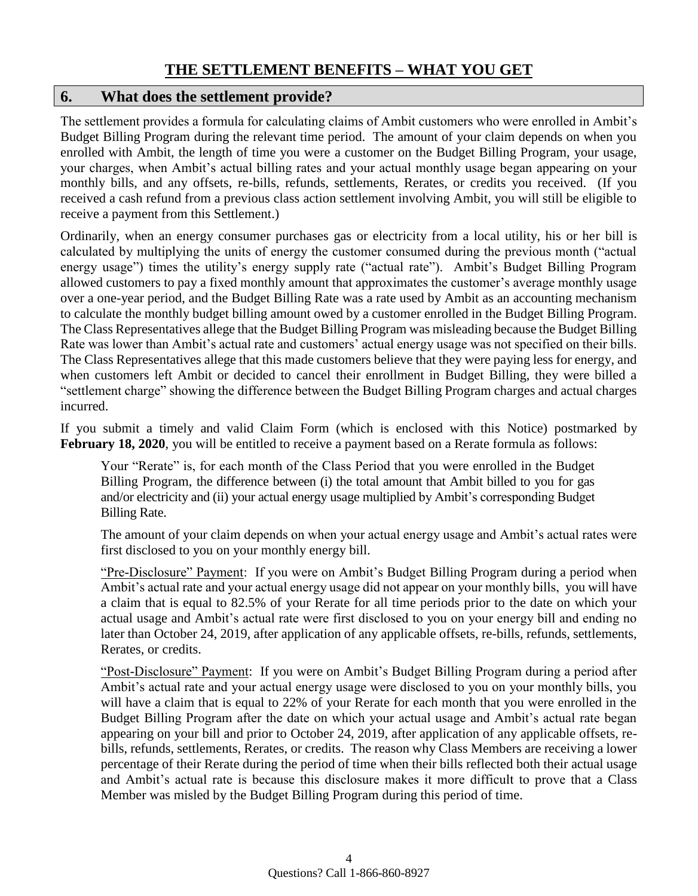# **THE SETTLEMENT BENEFITS – WHAT YOU GET**

#### **6. What does the settlement provide?**

The settlement provides a formula for calculating claims of Ambit customers who were enrolled in Ambit's Budget Billing Program during the relevant time period. The amount of your claim depends on when you enrolled with Ambit, the length of time you were a customer on the Budget Billing Program, your usage, your charges, when Ambit's actual billing rates and your actual monthly usage began appearing on your monthly bills, and any offsets, re-bills, refunds, settlements, Rerates, or credits you received. (If you received a cash refund from a previous class action settlement involving Ambit, you will still be eligible to receive a payment from this Settlement.)

Ordinarily, when an energy consumer purchases gas or electricity from a local utility, his or her bill is calculated by multiplying the units of energy the customer consumed during the previous month ("actual energy usage") times the utility's energy supply rate ("actual rate"). Ambit's Budget Billing Program allowed customers to pay a fixed monthly amount that approximates the customer's average monthly usage over a one-year period, and the Budget Billing Rate was a rate used by Ambit as an accounting mechanism to calculate the monthly budget billing amount owed by a customer enrolled in the Budget Billing Program. The Class Representatives allege that the Budget Billing Program was misleading because the Budget Billing Rate was lower than Ambit's actual rate and customers' actual energy usage was not specified on their bills. The Class Representatives allege that this made customers believe that they were paying less for energy, and when customers left Ambit or decided to cancel their enrollment in Budget Billing, they were billed a "settlement charge" showing the difference between the Budget Billing Program charges and actual charges incurred.

If you submit a timely and valid Claim Form (which is enclosed with this Notice) postmarked by **February 18, 2020**, you will be entitled to receive a payment based on a Rerate formula as follows:

Your "Rerate" is, for each month of the Class Period that you were enrolled in the Budget Billing Program, the difference between (i) the total amount that Ambit billed to you for gas and/or electricity and (ii) your actual energy usage multiplied by Ambit's corresponding Budget Billing Rate.

The amount of your claim depends on when your actual energy usage and Ambit's actual rates were first disclosed to you on your monthly energy bill.

"Pre-Disclosure" Payment: If you were on Ambit's Budget Billing Program during a period when Ambit's actual rate and your actual energy usage did not appear on your monthly bills, you will have a claim that is equal to 82.5% of your Rerate for all time periods prior to the date on which your actual usage and Ambit's actual rate were first disclosed to you on your energy bill and ending no later than October 24, 2019, after application of any applicable offsets, re-bills, refunds, settlements, Rerates, or credits.

"Post-Disclosure" Payment: If you were on Ambit's Budget Billing Program during a period after Ambit's actual rate and your actual energy usage were disclosed to you on your monthly bills, you will have a claim that is equal to 22% of your Rerate for each month that you were enrolled in the Budget Billing Program after the date on which your actual usage and Ambit's actual rate began appearing on your bill and prior to October 24, 2019, after application of any applicable offsets, rebills, refunds, settlements, Rerates, or credits. The reason why Class Members are receiving a lower percentage of their Rerate during the period of time when their bills reflected both their actual usage and Ambit's actual rate is because this disclosure makes it more difficult to prove that a Class Member was misled by the Budget Billing Program during this period of time.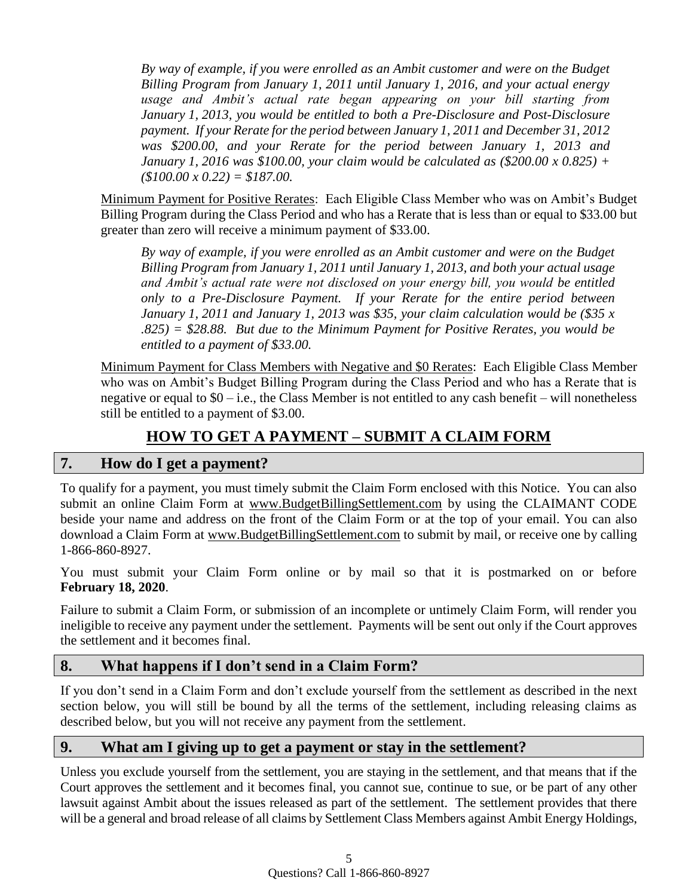*By way of example, if you were enrolled as an Ambit customer and were on the Budget Billing Program from January 1, 2011 until January 1, 2016, and your actual energy usage and Ambit's actual rate began appearing on your bill starting from January 1, 2013, you would be entitled to both a Pre-Disclosure and Post-Disclosure payment. If your Rerate for the period between January 1, 2011 and December 31, 2012 was \$200.00, and your Rerate for the period between January 1, 2013 and January 1, 2016 was \$100.00, your claim would be calculated as (\$200.00 x 0.825) + (\$100.00 x 0.22) = \$187.00.*

Minimum Payment for Positive Rerates: Each Eligible Class Member who was on Ambit's Budget Billing Program during the Class Period and who has a Rerate that is less than or equal to \$33.00 but greater than zero will receive a minimum payment of \$33.00.

*By way of example, if you were enrolled as an Ambit customer and were on the Budget Billing Program from January 1, 2011 until January 1, 2013, and both your actual usage and Ambit's actual rate were not disclosed on your energy bill, you would be entitled only to a Pre-Disclosure Payment. If your Rerate for the entire period between January 1, 2011 and January 1, 2013 was \$35, your claim calculation would be (\$35 x .825) = \$28.88. But due to the Minimum Payment for Positive Rerates, you would be entitled to a payment of \$33.00.*

Minimum Payment for Class Members with Negative and \$0 Rerates: Each Eligible Class Member who was on Ambit's Budget Billing Program during the Class Period and who has a Rerate that is negative or equal to  $$0 - i.e.,$  the Class Member is not entitled to any cash benefit – will nonetheless still be entitled to a payment of \$3.00.

# **HOW TO GET A PAYMENT – SUBMIT A CLAIM FORM**

## **7. How do I get a payment?**

To qualify for a payment, you must timely submit the Claim Form enclosed with this Notice. You can also submit an online Claim Form at www.BudgetBillingSettlement.com by using the CLAIMANT CODE beside your name and address on the front of the Claim Form or at the top of your email. You can also download a Claim Form at www.BudgetBillingSettlement.com to submit by mail, or receive one by calling 1-866-860-8927.

You must submit your Claim Form online or by mail so that it is postmarked on or before **February 18, 2020**.

Failure to submit a Claim Form, or submission of an incomplete or untimely Claim Form, will render you ineligible to receive any payment under the settlement. Payments will be sent out only if the Court approves the settlement and it becomes final.

## **8. What happens if I don't send in a Claim Form?**

If you don't send in a Claim Form and don't exclude yourself from the settlement as described in the next section below, you will still be bound by all the terms of the settlement, including releasing claims as described below, but you will not receive any payment from the settlement.

## **9. What am I giving up to get a payment or stay in the settlement?**

Unless you exclude yourself from the settlement, you are staying in the settlement, and that means that if the Court approves the settlement and it becomes final, you cannot sue, continue to sue, or be part of any other lawsuit against Ambit about the issues released as part of the settlement. The settlement provides that there will be a general and broad release of all claims by Settlement Class Members against Ambit Energy Holdings,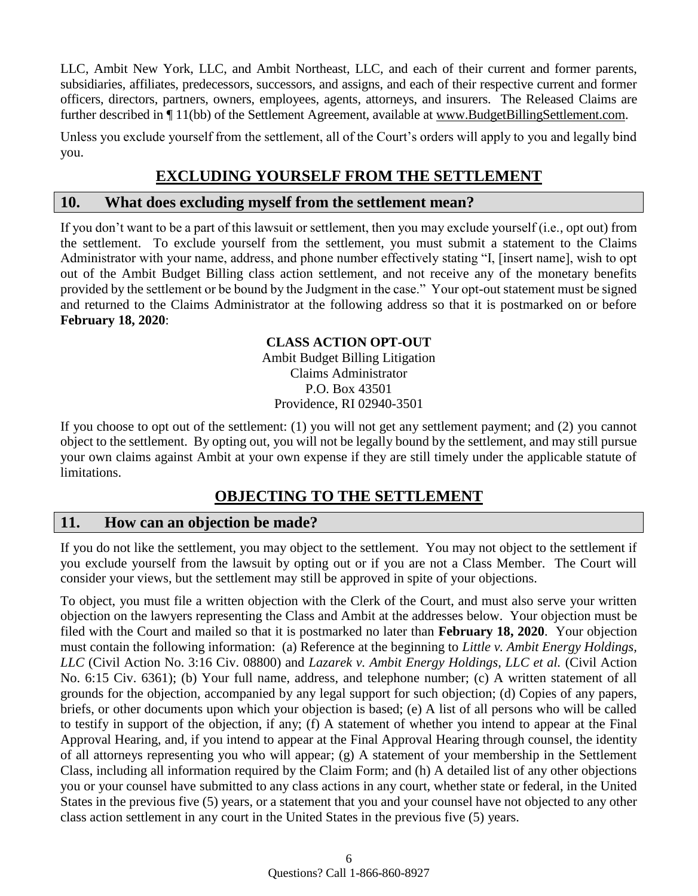LLC, Ambit New York, LLC, and Ambit Northeast, LLC, and each of their current and former parents, subsidiaries, affiliates, predecessors, successors, and assigns, and each of their respective current and former officers, directors, partners, owners, employees, agents, attorneys, and insurers. The Released Claims are further described in  $\P$  11(bb) of the Settlement Agreement, available at www.BudgetBillingSettlement.com.

Unless you exclude yourself from the settlement, all of the Court's orders will apply to you and legally bind you.

## **EXCLUDING YOURSELF FROM THE SETTLEMENT**

#### **10. What does excluding myself from the settlement mean?**

If you don't want to be a part of this lawsuit or settlement, then you may exclude yourself (i.e., opt out) from the settlement. To exclude yourself from the settlement, you must submit a statement to the Claims Administrator with your name, address, and phone number effectively stating "I, [insert name], wish to opt out of the Ambit Budget Billing class action settlement, and not receive any of the monetary benefits provided by the settlement or be bound by the Judgment in the case." Your opt-out statement must be signed and returned to the Claims Administrator at the following address so that it is postmarked on or before **February 18, 2020**:

# **CLASS ACTION OPT-OUT**

Ambit Budget Billing Litigation Claims Administrator P.O. Box 43501 Providence, RI 02940-3501

If you choose to opt out of the settlement: (1) you will not get any settlement payment; and (2) you cannot object to the settlement. By opting out, you will not be legally bound by the settlement, and may still pursue your own claims against Ambit at your own expense if they are still timely under the applicable statute of limitations.

# **OBJECTING TO THE SETTLEMENT**

## **11. How can an objection be made?**

If you do not like the settlement, you may object to the settlement. You may not object to the settlement if you exclude yourself from the lawsuit by opting out or if you are not a Class Member. The Court will consider your views, but the settlement may still be approved in spite of your objections.

To object, you must file a written objection with the Clerk of the Court, and must also serve your written objection on the lawyers representing the Class and Ambit at the addresses below. Your objection must be filed with the Court and mailed so that it is postmarked no later than **February 18, 2020**. Your objection must contain the following information: (a) Reference at the beginning to *Little v. Ambit Energy Holdings, LLC* (Civil Action No. 3:16 Civ. 08800) and *Lazarek v. Ambit Energy Holdings, LLC et al.* (Civil Action No. 6:15 Civ. 6361); (b) Your full name, address, and telephone number; (c) A written statement of all grounds for the objection, accompanied by any legal support for such objection; (d) Copies of any papers, briefs, or other documents upon which your objection is based; (e) A list of all persons who will be called to testify in support of the objection, if any; (f) A statement of whether you intend to appear at the Final Approval Hearing, and, if you intend to appear at the Final Approval Hearing through counsel, the identity of all attorneys representing you who will appear; (g) A statement of your membership in the Settlement Class, including all information required by the Claim Form; and (h) A detailed list of any other objections you or your counsel have submitted to any class actions in any court, whether state or federal, in the United States in the previous five (5) years, or a statement that you and your counsel have not objected to any other class action settlement in any court in the United States in the previous five (5) years.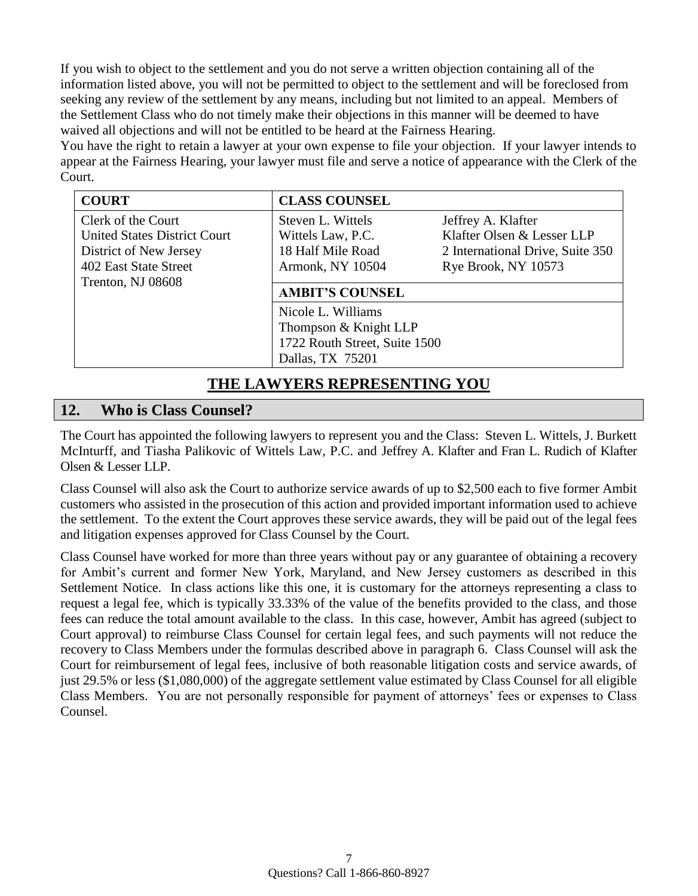If you wish to object to the settlement and you do not serve a written objection containing all of the information listed above, you will not be permitted to object to the settlement and will be foreclosed from seeking any review of the settlement by any means, including but not limited to an appeal. Members of the Settlement Class who do not timely make their objections in this manner will be deemed to have waived all objections and will not be entitled to be heard at the Fairness Hearing.

You have the right to retain a lawyer at your own expense to file your objection. If your lawyer intends to appear at the Fairness Hearing, your lawyer must file and serve a notice of appearance with the Clerk of the Court.

| <b>COURT</b>                        | <b>CLASS COUNSEL</b>          |                                  |
|-------------------------------------|-------------------------------|----------------------------------|
| Clerk of the Court                  | Steven L. Wittels             | Jeffrey A. Klafter               |
| <b>United States District Court</b> | Wittels Law, P.C.             | Klafter Olsen & Lesser LLP       |
| District of New Jersey              | 18 Half Mile Road             | 2 International Drive, Suite 350 |
| 402 East State Street               | Armonk, NY 10504              | Rye Brook, NY 10573              |
| Trenton, NJ 08608                   |                               |                                  |
|                                     | <b>AMBIT'S COUNSEL</b>        |                                  |
|                                     | Nicole L. Williams            |                                  |
|                                     | Thompson & Knight LLP         |                                  |
|                                     | 1722 Routh Street, Suite 1500 |                                  |
|                                     | Dallas, TX 75201              |                                  |

## **THE LAWYERS REPRESENTING YOU**

## **12. Who is Class Counsel?**

The Court has appointed the following lawyers to represent you and the Class: Steven L. Wittels, J. Burkett McInturff, and Tiasha Palikovic of Wittels Law, P.C. and Jeffrey A. Klafter and Fran L. Rudich of Klafter Olsen & Lesser LLP.

Class Counsel will also ask the Court to authorize service awards of up to \$2,500 each to five former Ambit customers who assisted in the prosecution of this action and provided important information used to achieve the settlement. To the extent the Court approves these service awards, they will be paid out of the legal fees and litigation expenses approved for Class Counsel by the Court.

Class Counsel have worked for more than three years without pay or any guarantee of obtaining a recovery for Ambit's current and former New York, Maryland, and New Jersey customers as described in this Settlement Notice. In class actions like this one, it is customary for the attorneys representing a class to request a legal fee, which is typically 33.33% of the value of the benefits provided to the class, and those fees can reduce the total amount available to the class. In this case, however, Ambit has agreed (subject to Court approval) to reimburse Class Counsel for certain legal fees, and such payments will not reduce the recovery to Class Members under the formulas described above in paragraph 6. Class Counsel will ask the Court for reimbursement of legal fees, inclusive of both reasonable litigation costs and service awards, of just 29.5% or less (\$1,080,000) of the aggregate settlement value estimated by Class Counsel for all eligible Class Members. You are not personally responsible for payment of attorneys' fees or expenses to Class Counsel.